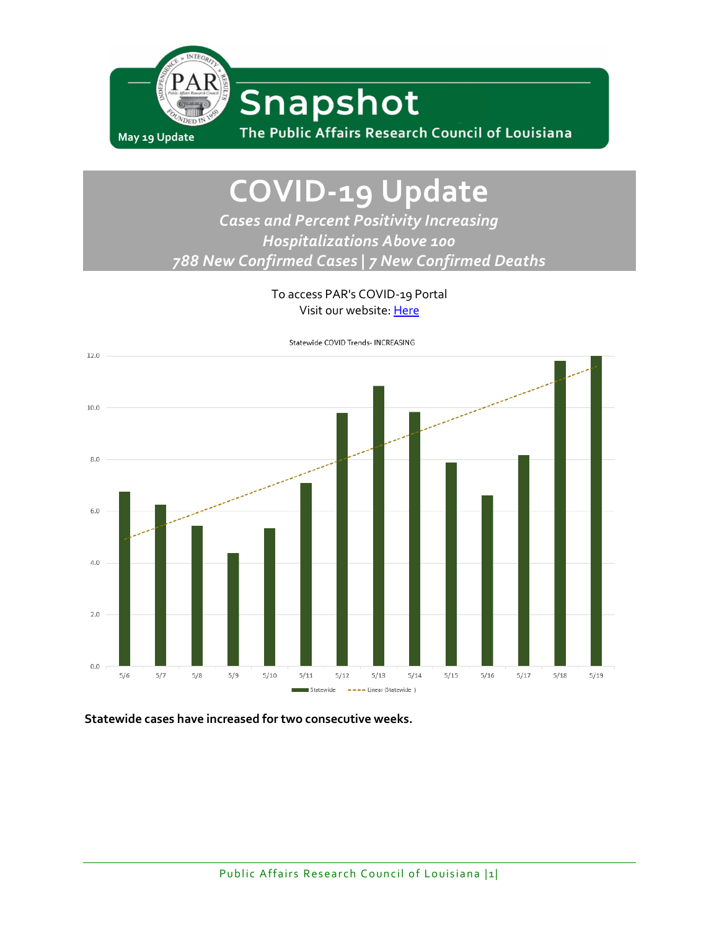

# **COVID-19 Update**

*Cases and Percent Positivity Increasing Hospitalizations Above 100 788 New Confirmed Cases | 7 New Confirmed Deaths*

> To access PAR's COVID-19 Portal Visit our website: [Here](http://www.parlouisiana.org/covid-19)



**Statewide cases have increased for two consecutive weeks.**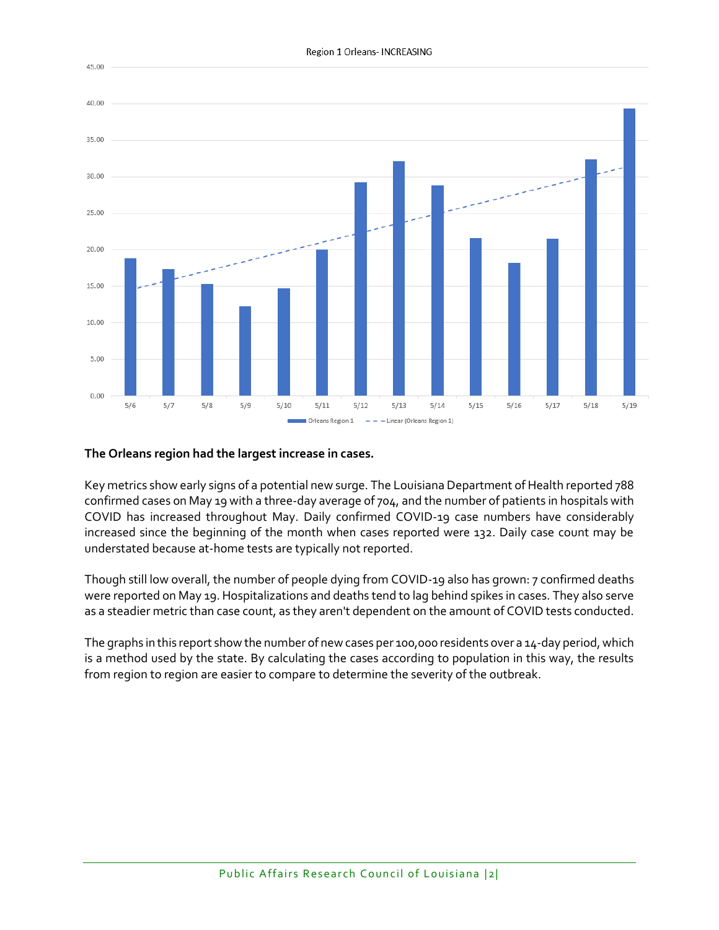

#### **The Orleans region had the largest increase in cases.**

Key metrics show early signs of a potential new surge. The Louisiana Department of Health reported 788 confirmed cases on May 19 with a three-day average of 704, and the number of patients in hospitals with COVID has increased throughout May. Daily confirmed COVID-19 case numbers have considerably increased since the beginning of the month when cases reported were 132. Daily case count may be understated because at-home tests are typically not reported.

Though still low overall, the number of people dying from COVID-19 also has grown: 7 confirmed deaths were reported on May 19. Hospitalizations and deaths tend to lag behind spikes in cases. They also serve as a steadier metric than case count, as they aren't dependent on the amount of COVID tests conducted.

The graphs in this report show the number of new cases per 100,000 residents over a 14-day period, which is a method used by the state. By calculating the cases according to population in this way, the results from region to region are easier to compare to determine the severity of the outbreak.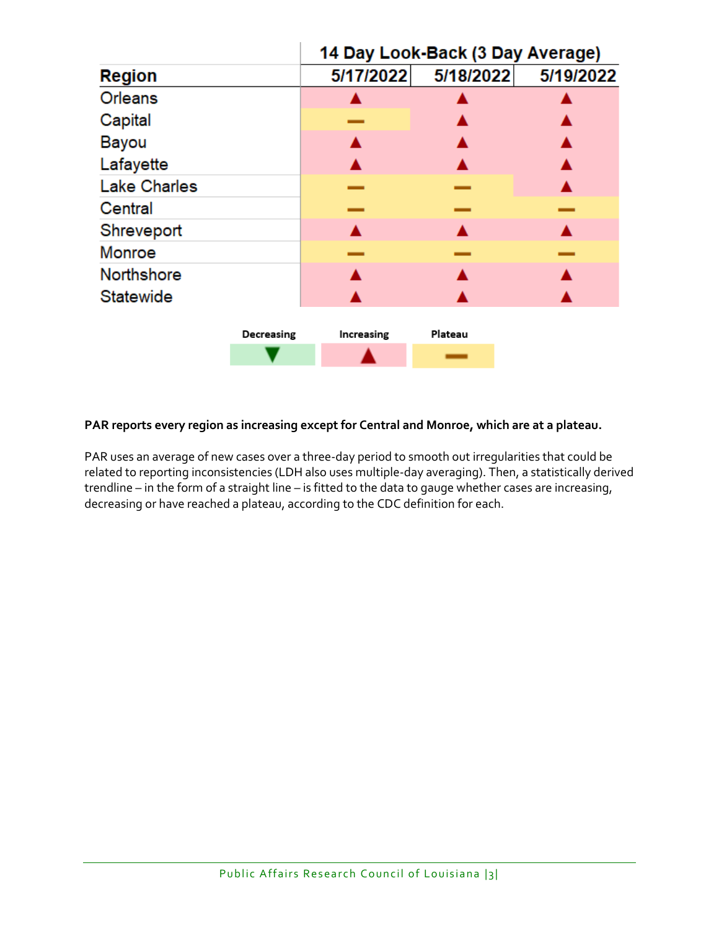|                     |            | 14 Day Look-Back (3 Day Average) |           |           |
|---------------------|------------|----------------------------------|-----------|-----------|
| <b>Region</b>       |            | 5/17/2022                        | 5/18/2022 | 5/19/2022 |
| <b>Orleans</b>      |            |                                  |           |           |
| Capital             |            |                                  |           |           |
| <b>Bayou</b>        |            |                                  |           |           |
| Lafayette           |            |                                  |           |           |
| <b>Lake Charles</b> |            |                                  |           |           |
| Central             |            |                                  |           |           |
| Shreveport          |            |                                  |           |           |
| Monroe              |            |                                  |           |           |
| <b>Northshore</b>   |            |                                  |           |           |
| Statewide           |            |                                  |           |           |
|                     |            |                                  |           |           |
|                     | Decreasing | Increasing                       | Plateau   |           |
|                     |            |                                  |           |           |

#### **PAR reports every region as increasing except for Central and Monroe, which are at a plateau.**

PAR uses an average of new cases over a three-day period to smooth out irregularities that could be related to reporting inconsistencies (LDH also uses multiple-day averaging). Then, a statistically derived trendline – in the form of a straight line – is fitted to the data to gauge whether cases are increasing, decreasing or have reached a plateau, according to the CDC definition for each.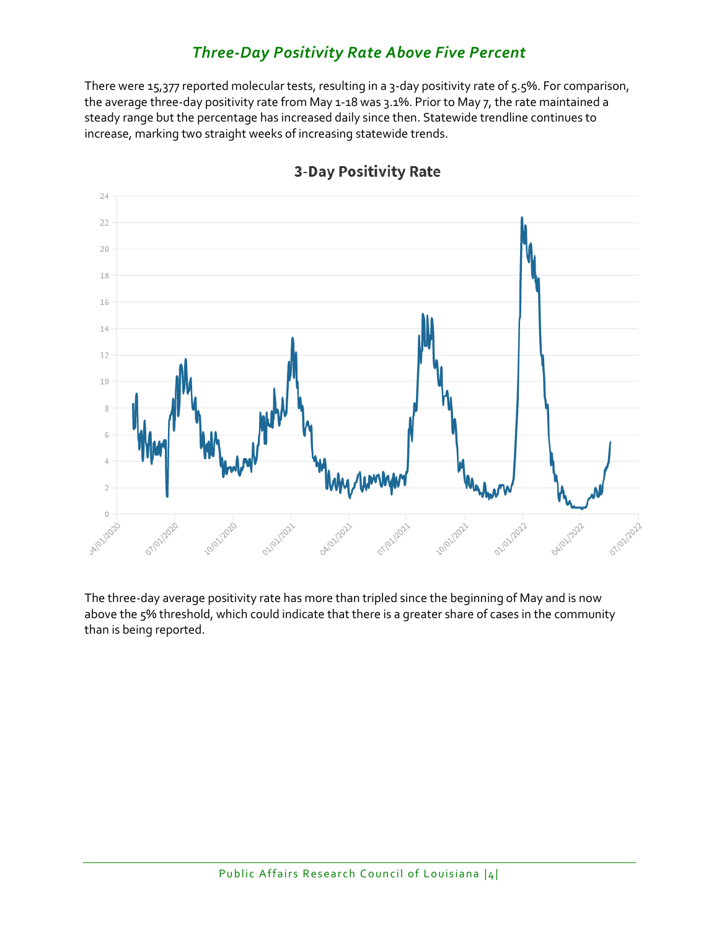# *Three-Day Positivity Rate Above Five Percent*

There were 15,377 reported molecular tests, resulting in a 3-day positivity rate of 5.5%. For comparison, the average three-day positivity rate from May 1-18 was 3.1%. Prior to May 7, the rate maintained a steady range but the percentage has increased daily since then. Statewide trendline continues to increase, marking two straight weeks of increasing statewide trends.



## **3-Day Positivity Rate**

The three-day average positivity rate has more than tripled since the beginning of May and is now above the 5% threshold, which could indicate that there is a greater share of cases in the community than is being reported.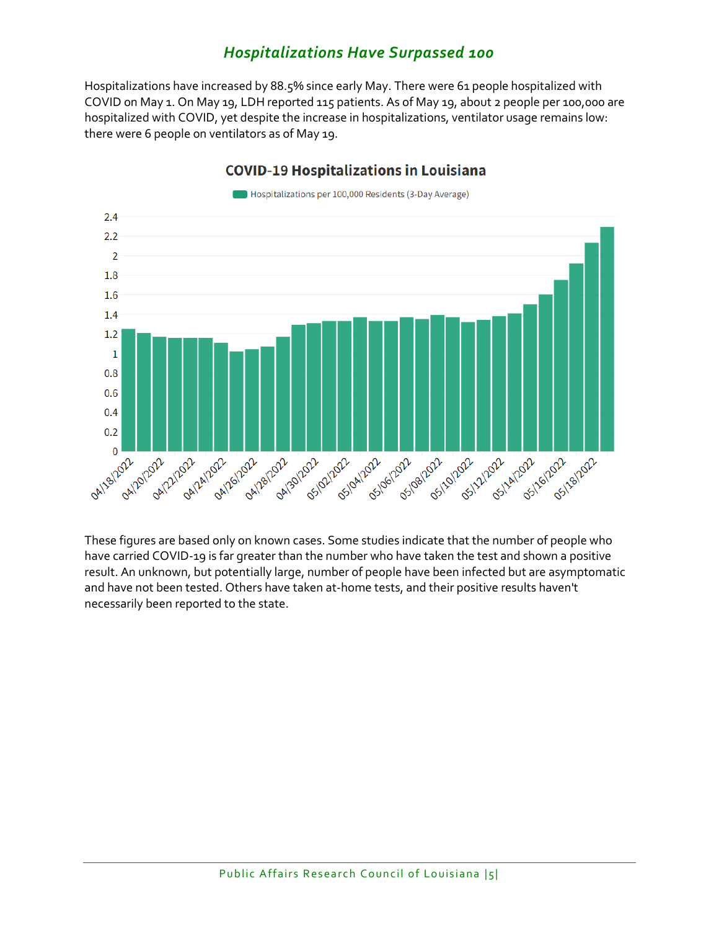## *Hospitalizations Have Surpassed 100*

Hospitalizations have increased by 88.5% since early May. There were 61 people hospitalized with COVID on May 1. On May 19, LDH reported 115 patients. As of May 19, about 2 people per 100,000 are hospitalized with COVID, yet despite the increase in hospitalizations, ventilator usage remains low: there were 6 people on ventilators as of May 19.



### **COVID-19 Hospitalizations in Louisiana**

These figures are based only on known cases. Some studies indicate that the number of people who have carried COVID-19 is far greater than the number who have taken the test and shown a positive result. An unknown, but potentially large, number of people have been infected but are asymptomatic and have not been tested. Others have taken at-home tests, and their positive results haven't necessarily been reported to the state.